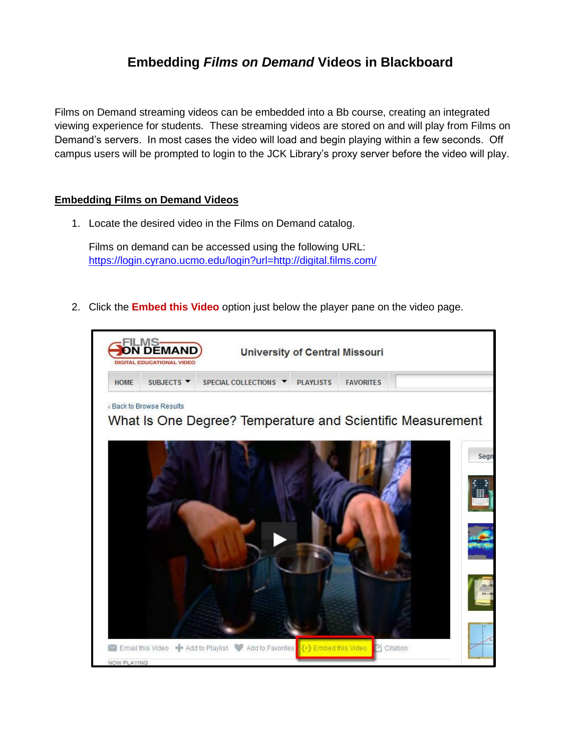## **Embedding** *Films on Demand* **Videos in Blackboard**

Films on Demand streaming videos can be embedded into a Bb course, creating an integrated viewing experience for students. These streaming videos are stored on and will play from Films on Demand's servers. In most cases the video will load and begin playing within a few seconds. Off campus users will be prompted to login to the JCK Library's proxy server before the video will play.

## **Embedding Films on Demand Videos**

1. Locate the desired video in the Films on Demand catalog.

Films on demand can be accessed using the following URL: <https://login.cyrano.ucmo.edu/login?url=http://digital.films.com/>

2. Click the **Embed this Video** option just below the player pane on the video page.

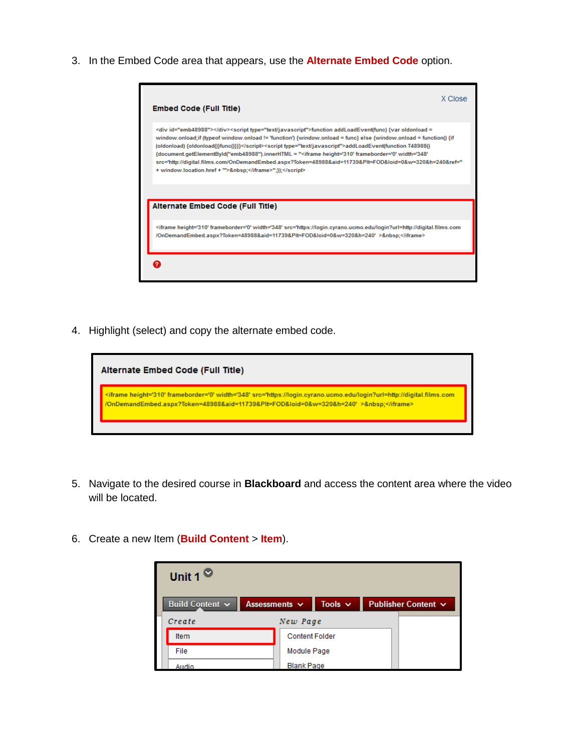3. In the Embed Code area that appears, use the **Alternate Embed Code** option.

| <b>Embed Code (Full Title)</b>                                                                                                                                                                                                                                                                                                                                                                                                                                                                                                                                                                                       | X Close |
|----------------------------------------------------------------------------------------------------------------------------------------------------------------------------------------------------------------------------------------------------------------------------------------------------------------------------------------------------------------------------------------------------------------------------------------------------------------------------------------------------------------------------------------------------------------------------------------------------------------------|---------|
| <div id="emb48988"></div> <script type="text/javascript">function addLoadEvent(func) {var oldonload =<br>window.onload;if (typeof window.onload != 'function') {window.onload = func} else {window.onload = function() {if<br>(oldonload) {oldonload()}func()}}}</script> <script type="text/javascript">addLoadEvent(function T48988()<br>'document.getElementById("emb48988").innerHTML = "<iframe height='310' frameborder='0' width='348<br>src='http://digital.films.com/OnDemandEmbed.aspx?Token=48988&aid=11739&Plt=FOD&loid=0&w=320&h=240&ref="<br>+ window.location.href + "'>&nbsp;</iframe>";});</script> |         |
|                                                                                                                                                                                                                                                                                                                                                                                                                                                                                                                                                                                                                      |         |
| Alternate Embed Code (Full Title)                                                                                                                                                                                                                                                                                                                                                                                                                                                                                                                                                                                    |         |

4. Highlight (select) and copy the alternate embed code.



- 5. Navigate to the desired course in **Blackboard** and access the content area where the video will be located.
- 6. Create a new Item (**Build Content** > **Item**).

| Unit 1 $\circ$  |                    |                       |              |                     |
|-----------------|--------------------|-----------------------|--------------|---------------------|
| Build Content v | Assessments $\sim$ |                       | Tools $\sim$ | Publisher Content V |
| Create          |                    | New Page              |              |                     |
| <b>Item</b>     |                    | <b>Content Folder</b> |              |                     |
| File            |                    | Module Page           |              |                     |
| Audio           |                    | <b>Blank Page</b>     |              |                     |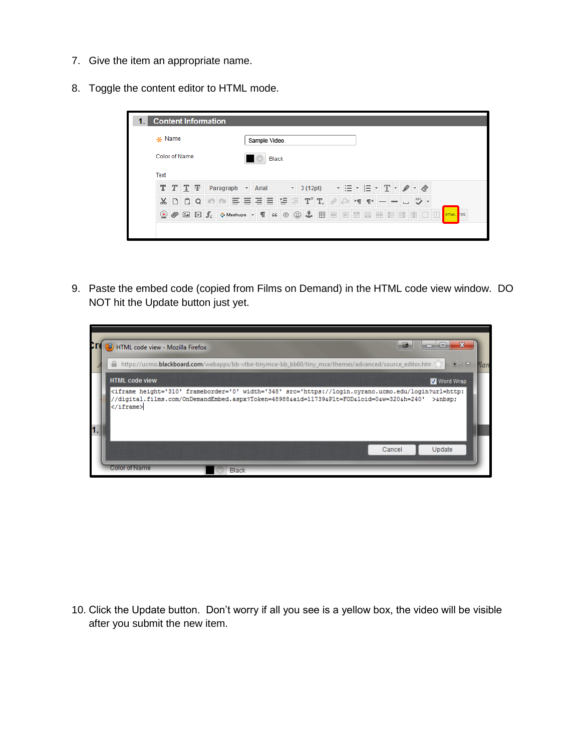- 7. Give the item an appropriate name.
- 8. Toggle the content editor to HTML mode.

| <b>Content Information</b> |                |               |              |  |            |                  |                         |                               |    |                |                          |             |   |              |                          |   |   |   |    |              |               |  |          |  |
|----------------------------|----------------|---------------|--------------|--|------------|------------------|-------------------------|-------------------------------|----|----------------|--------------------------|-------------|---|--------------|--------------------------|---|---|---|----|--------------|---------------|--|----------|--|
| $*$ Name                   |                |               |              |  |            |                  | Sample Video            |                               |    |                |                          |             |   |              |                          |   |   |   |    |              |               |  |          |  |
| Color of Name              |                |               |              |  |            |                  | Black                   |                               |    |                |                          |             |   |              |                          |   |   |   |    |              |               |  |          |  |
| Text                       |                |               |              |  |            |                  |                         |                               |    |                |                          |             |   |              |                          |   |   |   |    |              |               |  |          |  |
| т                          |                | $T$ T         | Ŧ            |  | Paragraph  |                  | $\overline{\mathbf{v}}$ | Arial                         |    |                | $\overline{\phantom{a}}$ | 3 (12pt)    |   |              | $\overline{\phantom{a}}$ |   | 這 |   | T. |              |               |  |          |  |
| $\chi$                     | $\Box$         | ũ             | Q            |  | $\sqrt{2}$ | $\equiv$         | ≣                       | ≣                             | Ξ  | 블트             |                          | $T^x$ $T_x$ |   | $\mathcal O$ | ಕೆರ                      |   |   |   |    |              | $\rightarrow$ |  |          |  |
|                            | $\circledcirc$ | $\frac{9}{2}$ | $\Box$ $f_x$ |  |            | <b>O</b> Mashups |                         | П<br>$\overline{\phantom{a}}$ | 66 | $\circledcirc$ | ☺                        | 品           | 囲 | 圖            | 圈                        | 圃 | 関 | 圖 | 囲  | $\mathbb{F}$ | H             |  | HTML ISS |  |
|                            |                |               |              |  |            |                  |                         |                               |    |                |                          |             |   |              |                          |   |   |   |    |              |               |  |          |  |

9. Paste the embed code (copied from Films on Demand) in the HTML code view window. DO NOT hit the Update button just yet.

| HTML code view - Mozilla Firefox |                                                                                                                                                                                                                                                                                                                          |  | 巕      | ا 91 ص         |      |
|----------------------------------|--------------------------------------------------------------------------------------------------------------------------------------------------------------------------------------------------------------------------------------------------------------------------------------------------------------------------|--|--------|----------------|------|
|                                  | https://ucmo.blackboard.com/webapps/bb-vtbe-tinymce-bb_bb60/tiny_mce/themes/advanced/source_editor.htm                                                                                                                                                                                                                   |  |        | 学习             | Plan |
| <b>HTML code view</b>            |                                                                                                                                                                                                                                                                                                                          |  |        | Word Wrap      |      |
|                                  | <tiframe <="" frameborder="0" height="310" src="https://login.cyrano.ucmo.edu/login?url=http:&lt;br&gt;//digital.films.com/OnDemandEmbed.aspx?Token=48988&amp;aid=11739&amp;Plt=FOD&amp;loid=0&amp;w=320&amp;h=240" th="" width="348"><th></th><th></th><th><math>&gt;</math>snb<math>sn</math>:</th><th></th></tiframe> |  |        | $>$ snb $sn$ : |      |
|                                  |                                                                                                                                                                                                                                                                                                                          |  |        |                |      |
|                                  |                                                                                                                                                                                                                                                                                                                          |  | Cancel | Update         |      |
| <b>Color of Name</b>             | <b>Black</b>                                                                                                                                                                                                                                                                                                             |  |        |                |      |

10. Click the Update button. Don't worry if all you see is a yellow box, the video will be visible after you submit the new item.